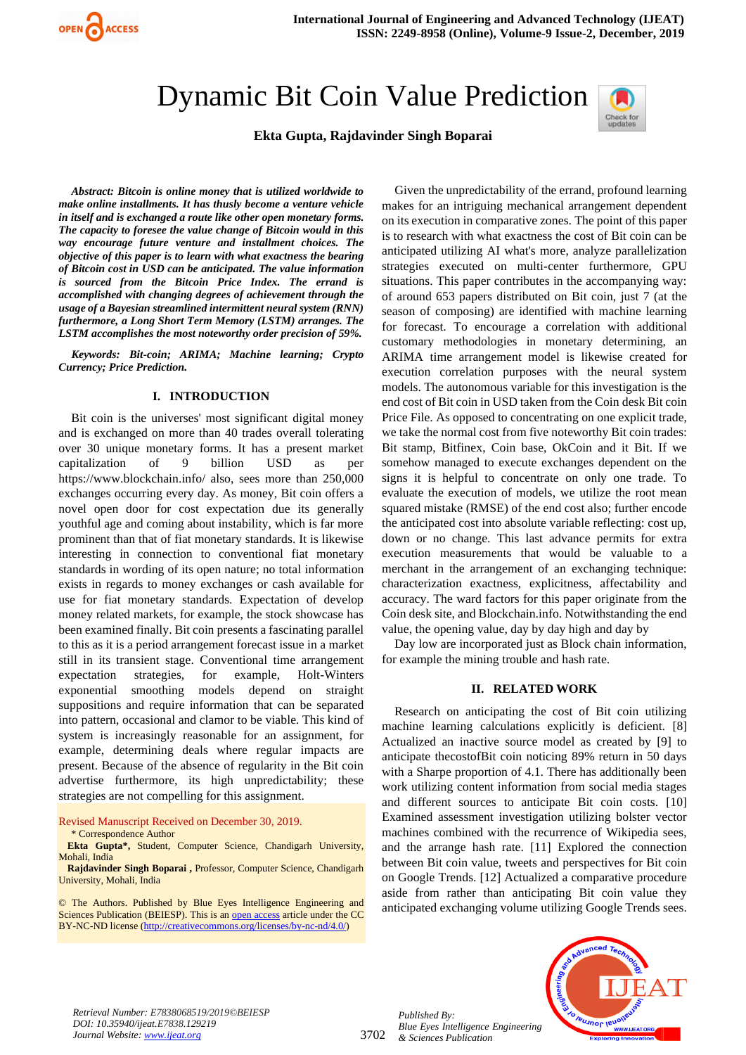

# Dynamic Bit Coin Value Prediction



# **Ekta Gupta, Rajdavinder Singh Boparai**

*Abstract: Bitcoin is online money that is utilized worldwide to make online installments. It has thusly become a venture vehicle in itself and is exchanged a route like other open monetary forms. The capacity to foresee the value change of Bitcoin would in this way encourage future venture and installment choices. The objective of this paper is to learn with what exactness the bearing of Bitcoin cost in USD can be anticipated. The value information is sourced from the Bitcoin Price Index. The errand is accomplished with changing degrees of achievement through the usage of a Bayesian streamlined intermittent neural system (RNN) furthermore, a Long Short Term Memory (LSTM) arranges. The LSTM accomplishes the most noteworthy order precision of 59%.*

*Keywords: Bit-coin; ARIMA; Machine learning; Crypto Currency; Price Prediction.*

## **I. INTRODUCTION**

Bit coin is the universes' most significant digital money and is exchanged on more than 40 trades overall tolerating over 30 unique monetary forms. It has a present market capitalization of 9 billion USD as per https://www.blockchain.info/ also, sees more than 250,000 exchanges occurring every day. As money, Bit coin offers a novel open door for cost expectation due its generally youthful age and coming about instability, which is far more prominent than that of fiat monetary standards. It is likewise interesting in connection to conventional fiat monetary standards in wording of its open nature; no total information exists in regards to money exchanges or cash available for use for fiat monetary standards. Expectation of develop money related markets, for example, the stock showcase has been examined finally. Bit coin presents a fascinating parallel to this as it is a period arrangement forecast issue in a market still in its transient stage. Conventional time arrangement expectation strategies, for example, Holt-Winters exponential smoothing models depend on straight suppositions and require information that can be separated into pattern, occasional and clamor to be viable. This kind of system is increasingly reasonable for an assignment, for example, determining deals where regular impacts are present. Because of the absence of regularity in the Bit coin advertise furthermore, its high unpredictability; these strategies are not compelling for this assignment.

Revised Manuscript Received on December 30, 2019.

\* Correspondence Author

**Ekta Gupta\*,** Student, Computer Science, Chandigarh University, Mohali, India

**Rajdavinder Singh Boparai ,** Professor, Computer Science, Chandigarh University, Mohali, India

© The Authors. Published by Blue Eyes Intelligence Engineering and Sciences Publication (BEIESP). This is a[n open access](https://www.openaccess.nl/en/open-publications) article under the CC BY-NC-ND license [\(http://creativecommons.org/licenses/by-nc-nd/4.0/\)](http://creativecommons.org/licenses/by-nc-nd/4.0/)

Given the unpredictability of the errand, profound learning makes for an intriguing mechanical arrangement dependent on its execution in comparative zones. The point of this paper is to research with what exactness the cost of Bit coin can be anticipated utilizing AI what's more, analyze parallelization strategies executed on multi-center furthermore, GPU situations. This paper contributes in the accompanying way: of around 653 papers distributed on Bit coin, just 7 (at the season of composing) are identified with machine learning for forecast. To encourage a correlation with additional customary methodologies in monetary determining, an ARIMA time arrangement model is likewise created for execution correlation purposes with the neural system models. The autonomous variable for this investigation is the end cost of Bit coin in USD taken from the Coin desk Bit coin Price File. As opposed to concentrating on one explicit trade, we take the normal cost from five noteworthy Bit coin trades: Bit stamp, Bitfinex, Coin base, OkCoin and it Bit. If we somehow managed to execute exchanges dependent on the signs it is helpful to concentrate on only one trade. To evaluate the execution of models, we utilize the root mean squared mistake (RMSE) of the end cost also; further encode the anticipated cost into absolute variable reflecting: cost up, down or no change. This last advance permits for extra execution measurements that would be valuable to a merchant in the arrangement of an exchanging technique: characterization exactness, explicitness, affectability and accuracy. The ward factors for this paper originate from the Coin desk site, and Blockchain.info. Notwithstanding the end value, the opening value, day by day high and day by

Day low are incorporated just as Block chain information, for example the mining trouble and hash rate.

### **II. RELATED WORK**

Research on anticipating the cost of Bit coin utilizing machine learning calculations explicitly is deficient. [8] Actualized an inactive source model as created by [9] to anticipate thecostofBit coin noticing 89% return in 50 days with a Sharpe proportion of 4.1. There has additionally been work utilizing content information from social media stages and different sources to anticipate Bit coin costs. [10] Examined assessment investigation utilizing bolster vector machines combined with the recurrence of Wikipedia sees, and the arrange hash rate. [11] Explored the connection between Bit coin value, tweets and perspectives for Bit coin on Google Trends. [12] Actualized a comparative procedure aside from rather than anticipating Bit coin value they anticipated exchanging volume utilizing Google Trends sees.



*Retrieval Number: E7838068519/2019©BEIESP DOI: 10.35940/ijeat.E7838.129219 Journal Website[: www.ijeat.org](http://www.ijeat.org/)*

*Published By: Blue Eyes Intelligence Engineering & Sciences Publication*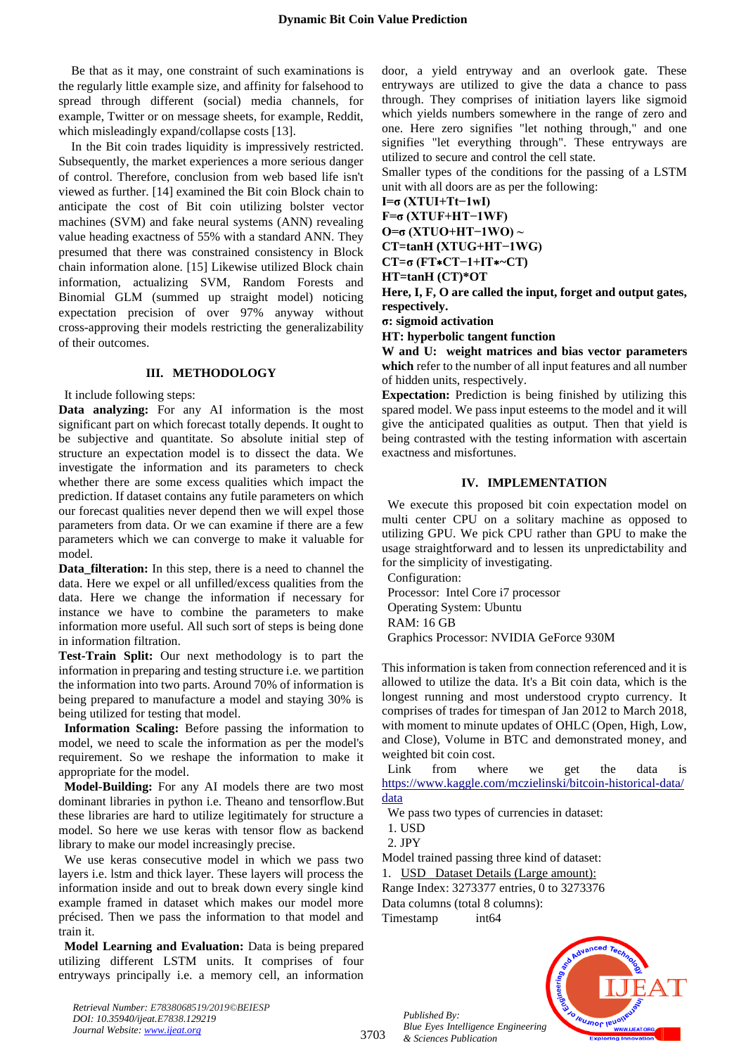Be that as it may, one constraint of such examinations is the regularly little example size, and affinity for falsehood to spread through different (social) media channels, for example, Twitter or on message sheets, for example, Reddit, which misleadingly expand/collapse costs [13].

In the Bit coin trades liquidity is impressively restricted. Subsequently, the market experiences a more serious danger of control. Therefore, conclusion from web based life isn't viewed as further. [14] examined the Bit coin Block chain to anticipate the cost of Bit coin utilizing bolster vector machines (SVM) and fake neural systems (ANN) revealing value heading exactness of 55% with a standard ANN. They presumed that there was constrained consistency in Block chain information alone. [15] Likewise utilized Block chain information, actualizing SVM, Random Forests and Binomial GLM (summed up straight model) noticing expectation precision of over 97% anyway without cross-approving their models restricting the generalizability of their outcomes.

#### **III. METHODOLOGY**

It include following steps:

**Data analyzing:** For any AI information is the most significant part on which forecast totally depends. It ought to be subjective and quantitate. So absolute initial step of structure an expectation model is to dissect the data. We investigate the information and its parameters to check whether there are some excess qualities which impact the prediction. If dataset contains any futile parameters on which our forecast qualities never depend then we will expel those parameters from data. Or we can examine if there are a few parameters which we can converge to make it valuable for model.

**Data\_filteration:** In this step, there is a need to channel the data. Here we expel or all unfilled/excess qualities from the data. Here we change the information if necessary for instance we have to combine the parameters to make information more useful. All such sort of steps is being done in information filtration.

**Test-Train Split:** Our next methodology is to part the information in preparing and testing structure i.e. we partition the information into two parts. Around 70% of information is being prepared to manufacture a model and staying 30% is being utilized for testing that model.

**Information Scaling:** Before passing the information to model, we need to scale the information as per the model's requirement. So we reshape the information to make it appropriate for the model.

**Model-Building:** For any AI models there are two most dominant libraries in python i.e. Theano and tensorflow.But these libraries are hard to utilize legitimately for structure a model. So here we use keras with tensor flow as backend library to make our model increasingly precise.

We use keras consecutive model in which we pass two layers i.e. lstm and thick layer. These layers will process the information inside and out to break down every single kind example framed in dataset which makes our model more précised. Then we pass the information to that model and train it.

**Model Learning and Evaluation:** Data is being prepared utilizing different LSTM units. It comprises of four entryways principally i.e. a memory cell, an information door, a yield entryway and an overlook gate. These entryways are utilized to give the data a chance to pass through. They comprises of initiation layers like sigmoid which yields numbers somewhere in the range of zero and one. Here zero signifies "let nothing through," and one signifies "let everything through". These entryways are utilized to secure and control the cell state.

Smaller types of the conditions for the passing of a LSTM unit with all doors are as per the following:

**I=σ (XTUI+Tt−1wI)**

**F=σ (XTUF+HT−1WF)**

**O=σ (XTUO+HT−1WO) ~**

**CT=tanH (XTUG+HT−1WG)**

**CT=σ (FT**∗**CT−1+IT**∗**~CT)**

**HT=tanH (CT)\*OT**

**Here, I, F, O are called the input, forget and output gates, respectively.**

**σ: sigmoid activation**

**HT: hyperbolic tangent function**

**W and U: weight matrices and bias vector parameters which** refer to the number of all input features and all number of hidden units, respectively.

**Expectation:** Prediction is being finished by utilizing this spared model. We pass input esteems to the model and it will give the anticipated qualities as output. Then that yield is being contrasted with the testing information with ascertain exactness and misfortunes.

### **IV. IMPLEMENTATION**

We execute this proposed bit coin expectation model on multi center CPU on a solitary machine as opposed to utilizing GPU. We pick CPU rather than GPU to make the usage straightforward and to lessen its unpredictability and for the simplicity of investigating.

Configuration: Processor: Intel Core i7 processor Operating System: Ubuntu RAM: 16 GB

Graphics Processor: NVIDIA GeForce 930M

This information is taken from connection referenced and it is allowed to utilize the data. It's a Bit coin data, which is the longest running and most understood crypto currency. It comprises of trades for timespan of Jan 2012 to March 2018, with moment to minute updates of OHLC (Open, High, Low, and Close), Volume in BTC and demonstrated money, and weighted bit coin cost.

Link from where we get the data is [https://www.kaggle.com/mczielinski/bitcoin-historical-data/](https://www.kaggle.com/mczielinski/bitcoin-historical-data/data) [data](https://www.kaggle.com/mczielinski/bitcoin-historical-data/data)

We pass two types of currencies in dataset:

1. USD

2. JPY

Model trained passing three kind of dataset:

1. USD Dataset Details (Large amount):

Range Index: 3273377 entries, 0 to 3273376

Data columns (total 8 columns):

Timestamp int64

*Published By:*

*& Sciences Publication* 



*Retrieval Number: E7838068519/2019©BEIESP DOI: 10.35940/ijeat.E7838.129219 Journal Website[: www.ijeat.org](http://www.ijeat.org/)*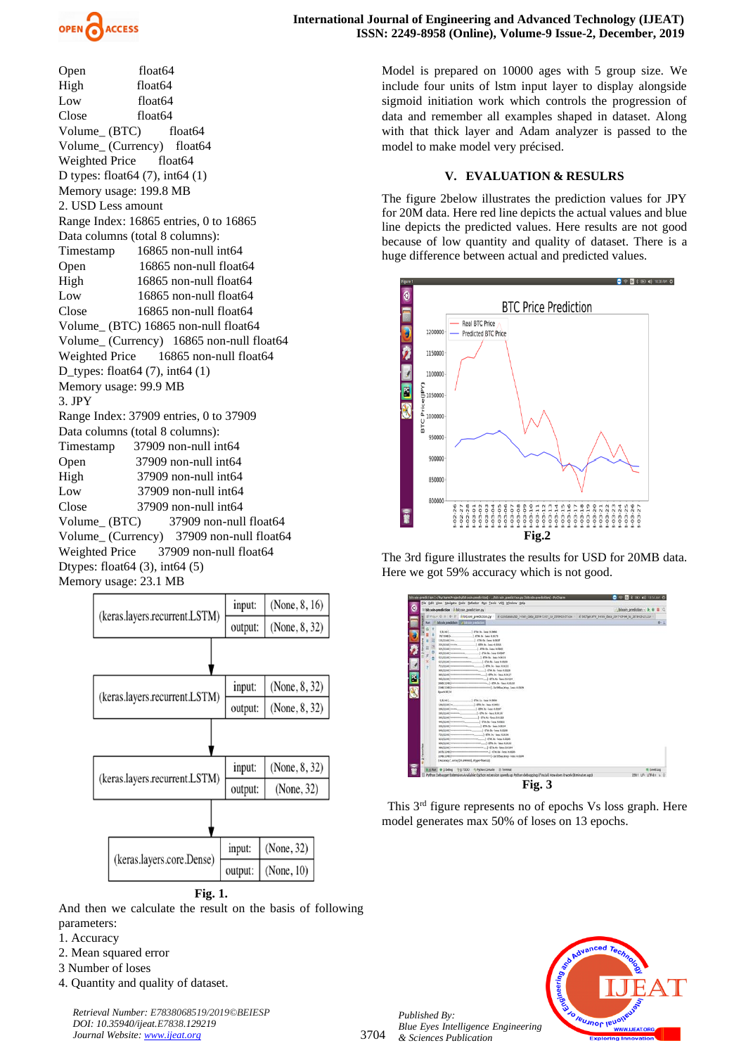

Open float64 High float64 Low float64 Close float64 Volume (BTC) float64 Volume (Currency) float64 Weighted Price float64 D types: float64 (7), int64 (1) Memory usage: 199.8 MB 2. USD Less amount Range Index: 16865 entries, 0 to 16865 Data columns (total 8 columns): Timestamp 16865 non-null int64 Open 16865 non-null float64 High 16865 non-null float 64 Low 16865 non-null float 64 Close 16865 non-null float 64 Volume\_ (BTC) 16865 non-null float64 Volume\_ (Currency) 16865 non-null float64 Weighted Price 16865 non-null float64 D\_types: float64 (7), int64 (1) Memory usage: 99.9 MB 3. JPY Range Index: 37909 entries, 0 to 37909 Data columns (total 8 columns): Timestamp 37909 non-null int64 Open 37909 non-null int64 High 37909 non-null int64 Low 37909 non-null int64 Close 37909 non-null int64 Volume (BTC) 37909 non-null float64 Volume\_ (Currency) 37909 non-null float64 Weighted Price 37909 non-null float64 Dtypes: float64 (3), int64 (5) Memory usage: 23.1 MB



And then we calculate the result on the basis of following parameters:

- 1. Accuracy
- 2. Mean squared error
- 3 Number of loses
- 4. Quantity and quality of dataset.

*Retrieval Number: E7838068519/2019©BEIESP DOI: 10.35940/ijeat.E7838.129219 Journal Website[: www.ijeat.org](http://www.ijeat.org/)*

Model is prepared on 10000 ages with 5 group size. We include four units of lstm input layer to display alongside sigmoid initiation work which controls the progression of data and remember all examples shaped in dataset. Along with that thick layer and Adam analyzer is passed to the model to make model very précised.

## **V. EVALUATION & RESULRS**

The figure 2below illustrates the prediction values for JPY for 20M data. Here red line depicts the actual values and blue line depicts the predicted values. Here results are not good because of low quantity and quality of dataset. There is a huge difference between actual and predicted values.



The 3rd figure illustrates the results for USD for 20MB data. Here we got 59% accuracy which is not good.



This 3rd figure represents no of epochs Vs loss graph. Here model generates max 50% of loses on 13 epochs.



*Published By: Blue Eyes Intelligence Engineering & Sciences Publication* 

3704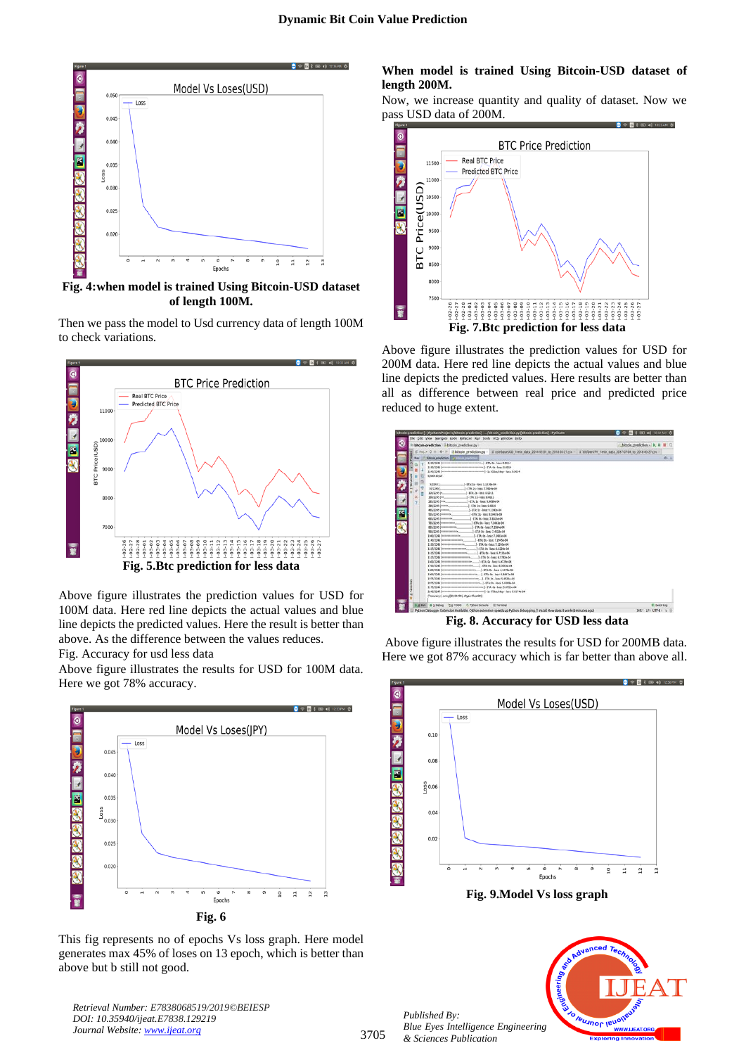

**Fig. 4:when model is trained Using Bitcoin-USD dataset of length 100M.**

Then we pass the model to Usd currency data of length 100M to check variations.



Above figure illustrates the prediction values for USD for 100M data. Here red line depicts the actual values and blue line depicts the predicted values. Here the result is better than above. As the difference between the values reduces.

Fig. Accuracy for usd less data

Above figure illustrates the results for USD for 100M data. Here we got 78% accuracy.



This fig represents no of epochs Vs loss graph. Here model generates max 45% of loses on 13 epoch, which is better than above but b still not good.

*Retrieval Number: E7838068519/2019©BEIESP DOI: 10.35940/ijeat.E7838.129219 Journal Website[: www.ijeat.org](http://www.ijeat.org/)*

### **When model is trained Using Bitcoin-USD dataset of length 200M.**

Now, we increase quantity and quality of dataset. Now we pass USD data of 200M.



Above figure illustrates the prediction values for USD for 200M data. Here red line depicts the actual values and blue line depicts the predicted values. Here results are better than all as difference between real price and predicted price reduced to huge extent.

|             | bitcols-prediction in bitcoin prediction.py                                                                                                                                                                                                                                                                                                                                                                                                                                                                                                                                                                                                                                                                                                                                                            |                                                                                                                                                                                                                                 | bitcoin prediction - b. |  |
|-------------|--------------------------------------------------------------------------------------------------------------------------------------------------------------------------------------------------------------------------------------------------------------------------------------------------------------------------------------------------------------------------------------------------------------------------------------------------------------------------------------------------------------------------------------------------------------------------------------------------------------------------------------------------------------------------------------------------------------------------------------------------------------------------------------------------------|---------------------------------------------------------------------------------------------------------------------------------------------------------------------------------------------------------------------------------|-------------------------|--|
| IP Price O  | bitcoin prediction.py                                                                                                                                                                                                                                                                                                                                                                                                                                                                                                                                                                                                                                                                                                                                                                                  | # coinbaseUSD 1-min data 2014-12-01 to 2018-03-27.csv - # bitfluer;PY 1-min data 2017-07-04 to 2018-03-27.csv                                                                                                                   |                         |  |
| <b>Burn</b> | <b>Salarain predstav</b><br>bitroin prediction                                                                                                                                                                                                                                                                                                                                                                                                                                                                                                                                                                                                                                                                                                                                                         |                                                                                                                                                                                                                                 | $0 - 1$                 |  |
| Ľ           | 2290/2245 (начинаемное политическое политическое) - ETA; 0s - loss; 0.0014<br>2245/2245 (познания немнини на полности (-1) 435us/step - loss: 0.0034<br>Epoch 30/20<br>5/23451.<br>1: ETA 1s.-loca: 1.1316e-04<br>50/22451.<br>1 ETA: 2s - locs: 7.9924a.04<br>100/2245 (n.<br>-ETA 2s - loss: 0.0033<br>190/2245 (m)<br>J - £7A: 1s - loss: 0.0012<br>285/2245 (mm.)<br>$-1.73k$ 1s - loss: 9,9093e-04<br>190/2245 (Henrix)<br>J-ETA: 1s - loss: 0.0010<br>1-178 is -loss 9.11424-04<br>565/2245 (Innoversia)<br>1-ETA 2x-lock 8.3467e-04<br>665/2245 Immunes.<br>-ETA: 0s - loss: 7.8316e-04<br>765/2245 Suprementers<br>855/2245 (поаволевого,<br>956/2245 [maxwayataka]<br>1040/2245 (наинеаннальный)<br>1145/2245 (наинеационный)<br>1130/2245 Documentationships<br>1115/2245 (непознаточностью) | $-57A$ Os - loss: 7,3681e-04<br>1-ETA 0s - loss: 7.2584e-04<br>1-ETA: 0s - loss: 7.4513e-04<br>1-ETA: 0s - loss: 7.3403e-04<br>1-ETA 0s - loss: 7.2945e-64<br>1-ETA: 0s - loss: 7.1295e-04<br>$-1.87A$ : Os - lipsc: 6.8224e-04 |                         |  |
|             | 1415/2345 (низнаниеменности).<br>1515/2245 (низначала позната на<br>1600/2245 (некологического политика)<br>1900/2345 (написанием написанием  ETA: 0s - loss: 5.84474-04<br>1975/2345 (нукованием написанных может 1 - ETA: Dy - Ipax: 5.4528e-04<br>2075/2245 [www.www.www.www.www.www.j.ETA: 0s - Sout: 5.4565e-04<br>2175/2245 (неприменением политических 3 - ETA: 0s - 1653; 5.6722e-04<br>2245/2245 (непринятия политические политиче) . 24 573 ac/stage - (ass: 5.6174e 04)<br>(Accuracy, array(89.99478), dtype=float323                                                                                                                                                                                                                                                                       | $-1.87A$ : 0s - 3664: 6.7231e-04<br>[14: 0s - loss: 6.5792e-04                                                                                                                                                                  |                         |  |

**Fig. 8. Accuracy for USD less data**

Above figure illustrates the results for USD for 200MB data. Here we got 87% accuracy which is far better than above all.



**Fig. 9.Model Vs loss graph**



*Published By: Blue Eyes Intelligence Engineering & Sciences Publication*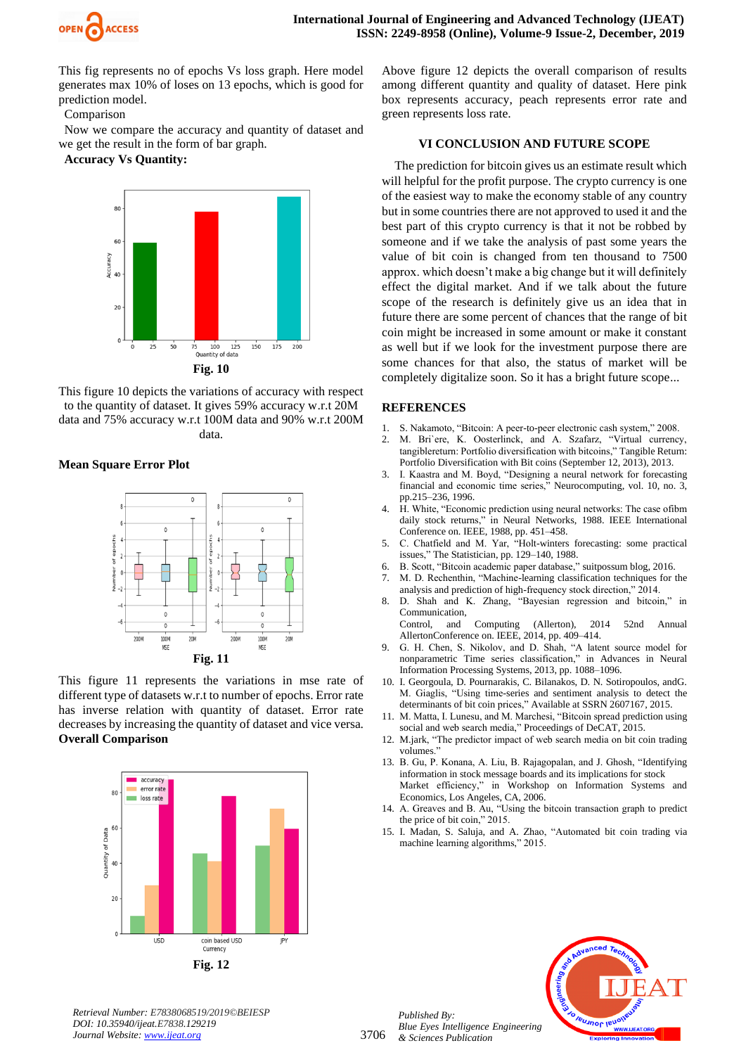

This fig represents no of epochs Vs loss graph. Here model generates max 10% of loses on 13 epochs, which is good for prediction model.

Comparison

Now we compare the accuracy and quantity of dataset and we get the result in the form of bar graph.

**Accuracy Vs Quantity:**



This figure 10 depicts the variations of accuracy with respect to the quantity of dataset. It gives 59% accuracy w.r.t 20M data and 75% accuracy w.r.t 100M data and 90% w.r.t 200M data.

# **Mean Square Error Plot**



This figure 11 represents the variations in mse rate of different type of datasets w.r.t to number of epochs. Error rate has inverse relation with quantity of dataset. Error rate decreases by increasing the quantity of dataset and vice versa. **Overall Comparison**



Above figure 12 depicts the overall comparison of results among different quantity and quality of dataset. Here pink box represents accuracy, peach represents error rate and green represents loss rate.

### **VI CONCLUSION AND FUTURE SCOPE**

The prediction for bitcoin gives us an estimate result which will helpful for the profit purpose. The crypto currency is one of the easiest way to make the economy stable of any country but in some countries there are not approved to used it and the best part of this crypto currency is that it not be robbed by someone and if we take the analysis of past some years the value of bit coin is changed from ten thousand to 7500 approx. which doesn't make a big change but it will definitely effect the digital market. And if we talk about the future scope of the research is definitely give us an idea that in future there are some percent of chances that the range of bit coin might be increased in some amount or make it constant as well but if we look for the investment purpose there are some chances for that also, the status of market will be completely digitalize soon. So it has a bright future scope...

## **REFERENCES**

- 1. S. Nakamoto, "Bitcoin: A peer-to-peer electronic cash system," 2008.
- 2. M. Bri`ere, K. Oosterlinck, and A. Szafarz, "Virtual currency, tangiblereturn: Portfolio diversification with bitcoins," Tangible Return: Portfolio Diversification with Bit coins (September 12, 2013), 2013.
- 3. I. Kaastra and M. Boyd, "Designing a neural network for forecasting financial and economic time series," Neurocomputing, vol. 10, no. 3, pp.215–236, 1996.
- 4. H. White, "Economic prediction using neural networks: The case ofibm daily stock returns," in Neural Networks, 1988. IEEE International Conference on. IEEE, 1988, pp. 451–458.
- 5. C. Chatfield and M. Yar, "Holt-winters forecasting: some practical issues," The Statistician, pp. 129–140, 1988.
- 6. B. Scott, "Bitcoin academic paper database," suitpossum blog, 2016.
- 7. M. D. Rechenthin, "Machine-learning classification techniques for the analysis and prediction of high-frequency stock direction," 2014.
- 8. D. Shah and K. Zhang, "Bayesian regression and bitcoin," in Communication,
- Control, and Computing (Allerton), 2014 52nd Annual AllertonConference on. IEEE, 2014, pp. 409–414.
- 9. G. H. Chen, S. Nikolov, and D. Shah, "A latent source model for nonparametric Time series classification," in Advances in Neural Information Processing Systems, 2013, pp. 1088–1096.
- 10. I. Georgoula, D. Pournarakis, C. Bilanakos, D. N. Sotiropoulos, andG. M. Giaglis, "Using time-series and sentiment analysis to detect the determinants of bit coin prices," Available at SSRN 2607167, 2015.
- 11. M. Matta, I. Lunesu, and M. Marchesi, "Bitcoin spread prediction using social and web search media," Proceedings of DeCAT, 2015.
- 12. M.jark, "The predictor impact of web search media on bit coin trading volumes."
- 13. B. Gu, P. Konana, A. Liu, B. Rajagopalan, and J. Ghosh, "Identifying information in stock message boards and its implications for stock Market efficiency," in Workshop on Information Systems and Economics, Los Angeles, CA, 2006.
- 14. A. Greaves and B. Au, "Using the bitcoin transaction graph to predict the price of bit coin," 2015.
- 15. I. Madan, S. Saluja, and A. Zhao, "Automated bit coin trading via machine learning algorithms," 2015.



*Retrieval Number: E7838068519/2019©BEIESP DOI: 10.35940/ijeat.E7838.129219 Journal Website[: www.ijeat.org](http://www.ijeat.org/)*

*Published By:*

*& Sciences Publication* 

*Blue Eyes Intelligence Engineering*